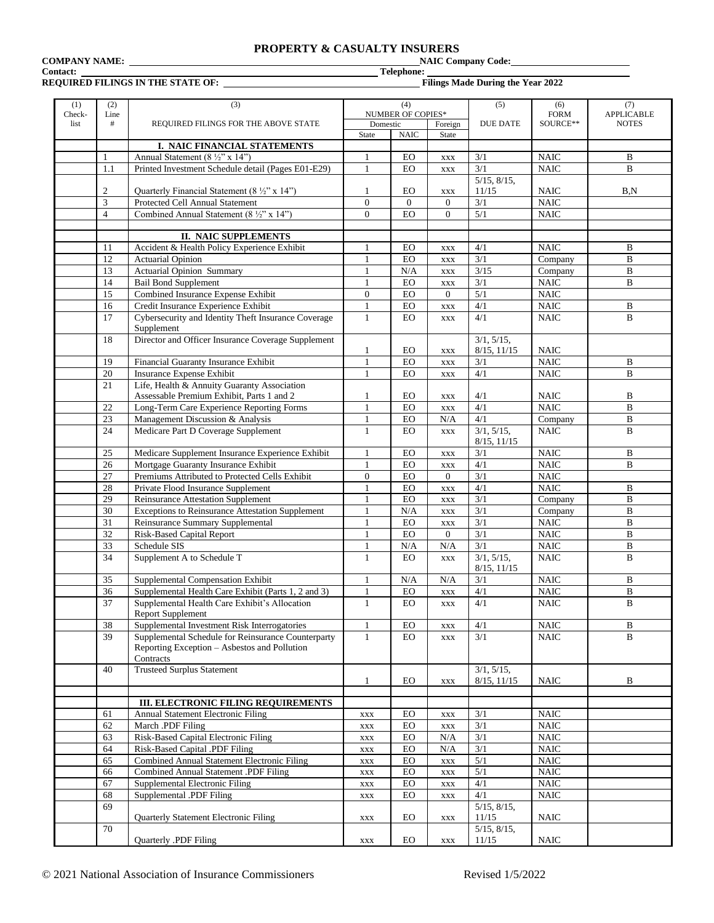## **PROPERTY & CASUALTY INSURERS**<br>NAIC Company Code:

**COMPANY NAME:** 

# **Contact:** <u>Contact:</u> **TELENT PRESENT THE STATE OF: REQUIRED FILINGS IN THE STATE OF:**

**RED FILINGS IN THE STATE OF STATE OF STATE OF STATE OF STATE OF STATE OF STATE OF STATE STATE STATE STATE STATE STATE STATE STATE STATE STATE STATE STATE STATE STATE STATE STATE STATE STATE STATE STATE STATE STATE STATE S** 

| (1)<br>Check- | (2)<br>Line    | (3)                                                                                                  | (4)<br>NUMBER OF COPIES*    |                  | (5)                   | (6)<br><b>FORM</b> | (7)<br><b>APPLICABLE</b>   |                              |
|---------------|----------------|------------------------------------------------------------------------------------------------------|-----------------------------|------------------|-----------------------|--------------------|----------------------------|------------------------------|
| list          | #              | REQUIRED FILINGS FOR THE ABOVE STATE                                                                 | Domestic                    |                  | Foreign               | <b>DUE DATE</b>    | SOURCE**                   | <b>NOTES</b>                 |
|               |                |                                                                                                      | <b>State</b>                | <b>NAIC</b>      | State                 |                    |                            |                              |
|               |                | I. NAIC FINANCIAL STATEMENTS                                                                         |                             |                  |                       |                    |                            |                              |
|               | $\mathbf{1}$   | Annual Statement (8 $\frac{1}{2}$ " x 14")                                                           | $\mathbf{1}$                | EO               | <b>XXX</b>            | 3/1                | <b>NAIC</b>                | B                            |
|               | 1.1            | Printed Investment Schedule detail (Pages E01-E29)                                                   |                             | EO               | $\mathbf{XXX}$        | 3/1                | <b>NAIC</b>                | B                            |
|               |                |                                                                                                      |                             |                  |                       | $5/15$ , $8/15$ ,  |                            |                              |
|               | $\mathfrak{2}$ | Quarterly Financial Statement (8 $\frac{1}{2}$ " x 14")                                              | -1                          | EO               | <b>XXX</b>            | 11/15              | <b>NAIC</b>                | B.N                          |
|               | 3              | Protected Cell Annual Statement                                                                      | $\mathbf{0}$                | $\theta$         | $\mathbf{0}$          | 3/1                | <b>NAIC</b>                |                              |
|               | $\overline{4}$ | Combined Annual Statement (8 1/2" x 14")                                                             | $\Omega$                    | <b>EO</b>        | $\theta$              | 5/1                | <b>NAIC</b>                |                              |
|               |                | <b>II. NAIC SUPPLEMENTS</b>                                                                          |                             |                  |                       |                    |                            |                              |
|               | 11             | Accident & Health Policy Experience Exhibit                                                          | $\mathbf{1}$                | EO               | $\mathbf{XXX}$        | 4/1                | <b>NAIC</b>                | B                            |
|               | 12             | <b>Actuarial Opinion</b>                                                                             | 1                           | EO               | <b>XXX</b>            | 3/1                | Company                    | $\mathbf B$                  |
|               | 13             | <b>Actuarial Opinion Summary</b>                                                                     | $\mathbf{1}$                | N/A              | <b>XXX</b>            | 3/15               | Company                    | $\, {\bf B}$                 |
|               | 14             | <b>Bail Bond Supplement</b>                                                                          | 1                           | EO               | <b>XXX</b>            | 3/1                | <b>NAIC</b>                | $\mathbf B$                  |
|               | 15             | Combined Insurance Expense Exhibit                                                                   | $\boldsymbol{0}$            | EO               | $\overline{0}$        | 5/1                | <b>NAIC</b>                |                              |
|               | 16             | Credit Insurance Experience Exhibit                                                                  | $\mathbf{1}$                | EO               | <b>XXX</b>            | 4/1                | <b>NAIC</b>                | $\, {\bf B}$                 |
|               | 17             | Cybersecurity and Identity Theft Insurance Coverage                                                  | $\mathbf{1}$                | EO               | <b>XXX</b>            | 4/1                | <b>NAIC</b>                | $\mathbf B$                  |
|               |                | Supplement                                                                                           |                             |                  |                       |                    |                            |                              |
|               | 18             | Director and Officer Insurance Coverage Supplement                                                   |                             |                  |                       | $3/1, 5/15$ ,      |                            |                              |
|               |                |                                                                                                      | 1                           | EO               | <b>XXX</b>            | $8/15$ , $11/15$   | <b>NAIC</b>                |                              |
|               | 19             | Financial Guaranty Insurance Exhibit                                                                 |                             | EO               | <b>XXX</b>            | 3/1                | <b>NAIC</b>                | B                            |
|               | 20             | Insurance Expense Exhibit                                                                            | 1                           | EO               | <b>XXX</b>            | 4/1                | <b>NAIC</b>                | $\bf{B}$                     |
|               | 21             | Life, Health & Annuity Guaranty Association<br>Assessable Premium Exhibit, Parts 1 and 2             | 1                           | EO               |                       | 4/1                | <b>NAIC</b>                | B                            |
|               | 22             | Long-Term Care Experience Reporting Forms                                                            | $\mathbf{1}$                | EO               | <b>XXX</b>            | 4/1                | <b>NAIC</b>                | $\, {\bf B}$                 |
|               | 23             | Management Discussion & Analysis                                                                     |                             | EO               | <b>XXX</b><br>N/A     | 4/1                | Company                    | $\, {\bf B}$                 |
|               | 24             | Medicare Part D Coverage Supplement                                                                  | 1<br>$\mathbf{1}$           | EO               | <b>XXX</b>            | 3/1, 5/15,         | <b>NAIC</b>                | $\mathbf{B}$                 |
|               |                |                                                                                                      |                             |                  |                       | 8/15, 11/15        |                            |                              |
|               | 25             | Medicare Supplement Insurance Experience Exhibit                                                     |                             | EO               | $\mathbf{XXX}$        | 3/1                | <b>NAIC</b>                | B                            |
|               | 26             | Mortgage Guaranty Insurance Exhibit                                                                  | 1                           | EO               | <b>XXX</b>            | 4/1                | <b>NAIC</b>                | $\bf{B}$                     |
|               | 27             | Premiums Attributed to Protected Cells Exhibit                                                       | $\boldsymbol{0}$            | EO               | $\Omega$              | 3/1                | <b>NAIC</b>                |                              |
|               | 28             | Private Flood Insurance Supplement                                                                   | 1                           | EO               | <b>XXX</b>            | 4/1                | <b>NAIC</b>                | B                            |
|               | 29             | Reinsurance Attestation Supplement                                                                   | $\mathbf{1}$                | EO               | <b>XXX</b>            | 3/1                | Company                    | $\mathbf B$                  |
|               | 30             | <b>Exceptions to Reinsurance Attestation Supplement</b>                                              | 1                           | N/A              | <b>XXX</b>            | 3/1                | $\overline{\text{Compar}}$ | $\mathbf B$                  |
|               | 31             | Reinsurance Summary Supplemental                                                                     | $\mathbf{1}$                | EO               | <b>XXX</b>            | 3/1                | <b>NAIC</b>                | $\, {\bf B}$                 |
|               | 32             | Risk-Based Capital Report                                                                            | $\mathbf{1}$                | EO               | $\Omega$              | $\overline{3/1}$   | <b>NAIC</b>                | $\mathbf B$                  |
|               | 33             | Schedule SIS                                                                                         | 1                           | N/A              | N/A                   | 3/1                | <b>NAIC</b>                | B                            |
|               | 34             | Supplement A to Schedule T                                                                           | $\mathbf{1}$                | EO               | <b>XXX</b>            | 3/1, 5/15,         | <b>NAIC</b>                | $\overline{B}$               |
|               |                |                                                                                                      |                             |                  |                       | 8/15, 11/15        |                            |                              |
|               | 35             | Supplemental Compensation Exhibit                                                                    |                             | N/A              | N/A                   | 3/1                | <b>NAIC</b>                | B                            |
|               | 36<br>37       | Supplemental Health Care Exhibit (Parts 1, 2 and 3)<br>Supplemental Health Care Exhibit's Allocation | 1<br>$\mathbf{1}$           | EO<br>EO         | <b>XXX</b>            | 4/1<br>4/1         | <b>NAIC</b><br><b>NAIC</b> | $\, {\bf B}$<br>$\, {\bf B}$ |
|               |                | Report Supplement                                                                                    |                             |                  | <b>XXX</b>            |                    |                            |                              |
|               | 38             | Supplemental Investment Risk Interrogatories                                                         | $\mathbf{1}$                | EO               | $\mathbf{XXX}$        | 4/1                | <b>NAIC</b>                | B                            |
|               | 39             | Supplemental Schedule for Reinsurance Counterparty                                                   | 1                           | <b>EO</b>        | <b>XXX</b>            | 3/1                | <b>NAIC</b>                | B                            |
|               |                | Reporting Exception - Asbestos and Pollution                                                         |                             |                  |                       |                    |                            |                              |
|               |                | Contracts                                                                                            |                             |                  |                       |                    |                            |                              |
|               | 40             | <b>Trusteed Surplus Statement</b>                                                                    |                             |                  |                       | 3/1, 5/15,         |                            |                              |
|               |                |                                                                                                      | $\mathbf{1}$                | EO               | $\mathbf{XXX}$        | $8/15$ , $11/15$   | <b>NAIC</b>                | B                            |
|               |                |                                                                                                      |                             |                  |                       |                    |                            |                              |
|               |                | <b>III. ELECTRONIC FILING REQUIREMENTS</b>                                                           |                             |                  |                       |                    |                            |                              |
|               | 61             | Annual Statement Electronic Filing                                                                   | $\boldsymbol{\mathsf{XXX}}$ | EO               | $\mathbf{XXX}$        | 3/1                | <b>NAIC</b>                |                              |
|               | 62<br>63       | March .PDF Filing<br>Risk-Based Capital Electronic Filing                                            | $\boldsymbol{\mathsf{XXX}}$ | ${\rm EO}$<br>EO | $\mathbf{XXX}$<br>N/A | 3/1<br>3/1         | <b>NAIC</b><br><b>NAIC</b> |                              |
|               | 64             | Risk-Based Capital .PDF Filing                                                                       | XXX<br><b>XXX</b>           | EO               | N/A                   | 3/1                | <b>NAIC</b>                |                              |
|               | 65             | Combined Annual Statement Electronic Filing                                                          | XXX                         | EO               | $\mathbf{XXX}$        | $5/1$              | $\rm NAIC$                 |                              |
|               | 66             | Combined Annual Statement .PDF Filing                                                                | XXX                         | EO               | <b>XXX</b>            | 5/1                | <b>NAIC</b>                |                              |
|               | 67             | Supplemental Electronic Filing                                                                       | $\boldsymbol{\mathsf{XXX}}$ | EO               | $\mathbf{XXX}$        | 4/1                | <b>NAIC</b>                |                              |
|               | 68             | Supplemental .PDF Filing                                                                             | XXX                         | EO               | XXX                   | 4/1                | <b>NAIC</b>                |                              |
|               | 69             |                                                                                                      |                             |                  |                       | $5/15$ , $8/15$ ,  |                            |                              |
|               |                | Quarterly Statement Electronic Filing                                                                | $\boldsymbol{\mathsf{XXX}}$ | EO               | $\mathbf{XXX}$        | 11/15              | <b>NAIC</b>                |                              |
|               | 70             |                                                                                                      |                             |                  |                       | $5/15$ , $8/15$ ,  |                            |                              |
|               |                | Quarterly .PDF Filing                                                                                | $\boldsymbol{\mathsf{XXX}}$ | ${\rm EO}$       | $\mathbf{XXX}$        | 11/15              | $\rm NAIC$                 |                              |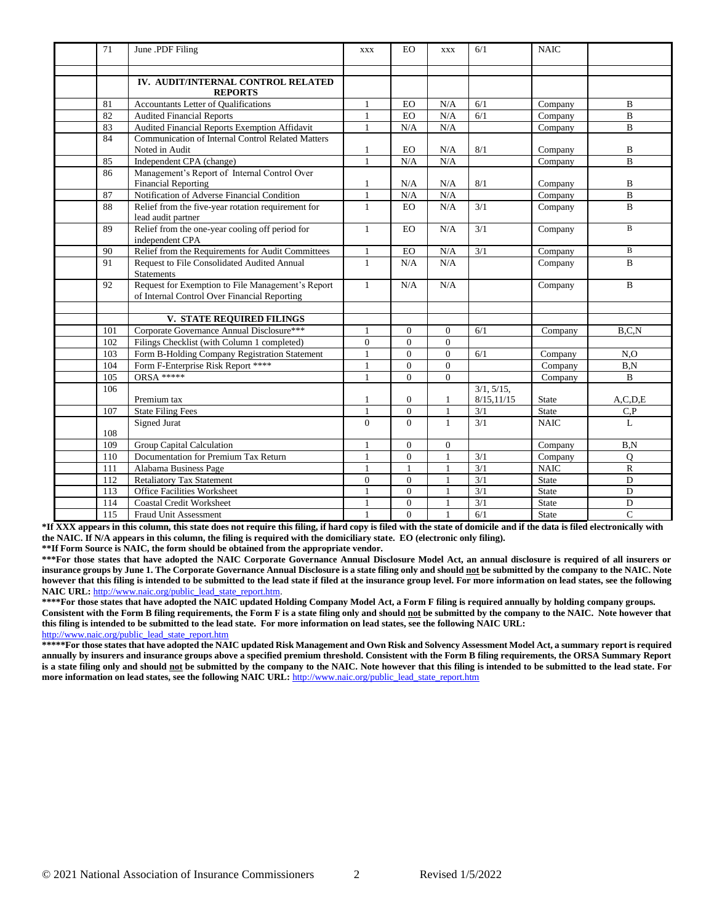| 71  | June .PDF Filing                                                                                  | <b>XXX</b>   | <b>EO</b>      | <b>XXX</b>     | 6/1              | <b>NAIC</b>                    |                |
|-----|---------------------------------------------------------------------------------------------------|--------------|----------------|----------------|------------------|--------------------------------|----------------|
|     | IV. AUDIT/INTERNAL CONTROL RELATED                                                                |              |                |                |                  |                                |                |
|     | <b>REPORTS</b>                                                                                    |              |                |                |                  |                                |                |
| 81  | Accountants Letter of Qualifications                                                              |              | EO             | N/A            | 6/1              | Company                        | B              |
| 82  | <b>Audited Financial Reports</b>                                                                  | $\mathbf{1}$ | <b>EO</b>      | N/A            | 6/1              | Company                        | $\overline{B}$ |
| 83  | Audited Financial Reports Exemption Affidavit                                                     | $\mathbf{1}$ | N/A            | N/A            |                  | Company                        | B              |
| 84  | <b>Communication of Internal Control Related Matters</b>                                          |              |                |                |                  |                                |                |
|     | Noted in Audit                                                                                    | 1            | <b>EO</b>      | N/A            | 8/1              | Company                        | B              |
| 85  | Independent CPA (change)                                                                          | $\mathbf{1}$ | N/A            | N/A            |                  | Company                        | $\overline{B}$ |
| 86  | Management's Report of Internal Control Over                                                      |              |                |                |                  |                                |                |
|     | <b>Financial Reporting</b>                                                                        | 1            | N/A            | N/A            | 8/1              | Company                        | B              |
| 87  | Notification of Adverse Financial Condition                                                       | $\mathbf{1}$ | N/A            | N/A            |                  | Company                        | $\bf{B}$       |
| 88  | Relief from the five-year rotation requirement for<br>lead audit partner                          | $\mathbf{1}$ | EO.            | N/A            | 3/1              | Company                        | $\overline{B}$ |
| 89  | Relief from the one-year cooling off period for<br>independent CPA                                | $\mathbf{1}$ | <b>EO</b>      | N/A            | 3/1              | Company                        | $\overline{B}$ |
| 90  | Relief from the Requirements for Audit Committees                                                 | $\mathbf{1}$ | EO             | N/A            | $\overline{3/1}$ | $\overline{\mathrm{Comp}}$ any | $\mathbf B$    |
| 91  | Request to File Consolidated Audited Annual<br><b>Statements</b>                                  | $\mathbf{1}$ | N/A            | N/A            |                  | Company                        | $\overline{B}$ |
| 92  | Request for Exemption to File Management's Report<br>of Internal Control Over Financial Reporting | $\mathbf{1}$ | N/A            | N/A            |                  | Company                        | $\mathbf B$    |
|     | V. STATE REQUIRED FILINGS                                                                         |              |                |                |                  |                                |                |
| 101 | Corporate Governance Annual Disclosure***                                                         | $\mathbf{1}$ | $\overline{0}$ | $\overline{0}$ | 6/1              | Company                        | B.C.N          |
| 102 | Filings Checklist (with Column 1 completed)                                                       | $\Omega$     | $\Omega$       | $\Omega$       |                  |                                |                |
| 103 | Form B-Holding Company Registration Statement                                                     | $\mathbf{1}$ | $\overline{0}$ | $\overline{0}$ | 6/1              | Company                        | $N_{\rm 0}$    |
| 104 | Form F-Enterprise Risk Report ****                                                                | 1            | $\Omega$       | $\overline{0}$ |                  | Company                        | B.N            |
| 105 | <b>ORSA *****</b>                                                                                 | $\mathbf{1}$ | $\Omega$       | $\overline{0}$ |                  | Company                        | $\mathbf B$    |
| 106 |                                                                                                   |              |                |                | $3/1, 5/15$ ,    |                                |                |
|     | Premium tax                                                                                       | $\mathbf{1}$ | $\overline{0}$ | $\mathbf{1}$   | 8/15, 11/15      | State                          | A, C, D, E     |
| 107 | <b>State Filing Fees</b>                                                                          | $\mathbf{1}$ | $\overline{0}$ | $\mathbf{1}$   | 3/1              | State                          | C, P           |
|     | Signed Jurat                                                                                      | $\Omega$     | $\Omega$       | $\mathbf{1}$   | 3/1              | <b>NAIC</b>                    | L              |
| 108 |                                                                                                   |              |                |                |                  |                                |                |
| 109 | <b>Group Capital Calculation</b>                                                                  | $\mathbf{1}$ | $\Omega$       | $\Omega$       |                  | Company                        | B.N            |
| 110 | Documentation for Premium Tax Return                                                              | 1            | $\overline{0}$ | $\mathbf{1}$   | 3/1              | Company                        | Q              |
| 111 | Alabama Business Page                                                                             | $\mathbf{1}$ | $\mathbf{1}$   | $\mathbf{1}$   | 3/1              | <b>NAIC</b>                    | $\mathbf R$    |
| 112 | <b>Retaliatory Tax Statement</b>                                                                  | $\Omega$     | $\Omega$       | $\mathbf{1}$   | 3/1              | <b>State</b>                   | $\mathbf D$    |
| 113 | <b>Office Facilities Worksheet</b>                                                                | $\mathbf{1}$ | $\Omega$       | $\mathbf{1}$   | 3/1              | State                          | D              |
| 114 | <b>Coastal Credit Worksheet</b>                                                                   | $\mathbf{1}$ | $\Omega$       | $\mathbf{1}$   | 3/1              | <b>State</b>                   | D              |
| 115 | <b>Fraud Unit Assessment</b>                                                                      |              | $\Omega$       |                | 6/1              | <b>State</b>                   | $\mathbf C$    |

**\*If XXX appears in this column, this state does not require this filing, if hard copy is filed with the state of domicile and if the data is filed electronically with the NAIC. If N/A appears in this column, the filing is required with the domiciliary state. EO (electronic only filing).**

**\*\*If Form Source is NAIC, the form should be obtained from the appropriate vendor.** 

**\*\*\*For those states that have adopted the NAIC Corporate Governance Annual Disclosure Model Act, an annual disclosure is required of all insurers or insurance groups by June 1. The Corporate Governance Annual Disclosure is a state filing only and should not be submitted by the company to the NAIC. Note however that this filing is intended to be submitted to the lead state if filed at the insurance group level. For more information on lead states, see the following**  NAIC URL: [http://www.naic.org/public\\_lead\\_state\\_report.htm.](http://www.naic.org/public_lead_state_report.htm)

**\*\*\*\*For those states that have adopted the NAIC updated Holding Company Model Act, a Form F filing is required annually by holding company groups. Consistent with the Form B filing requirements, the Form F is a state filing only and should not be submitted by the company to the NAIC. Note however that this filing is intended to be submitted to the lead state. For more information on lead states, see the following NAIC URL:** [http://www.naic.org/public\\_lead\\_state\\_report.htm](http://www.naic.org/public_lead_state_report.htm)

**\*\*\*\*\*For those states that have adopted the NAIC updated Risk Management and Own Risk and Solvency Assessment Model Act, a summary report is required annually by insurers and insurance groups above a specified premium threshold. Consistent with the Form B filing requirements, the ORSA Summary Report is a state filing only and should not be submitted by the company to the NAIC. Note however that this filing is intended to be submitted to the lead state. For more information on lead states, see the following NAIC URL: [http://www.naic.org/public\\_lead\\_state\\_report.htm](http://www.naic.org/public_lead_state_report.htm)**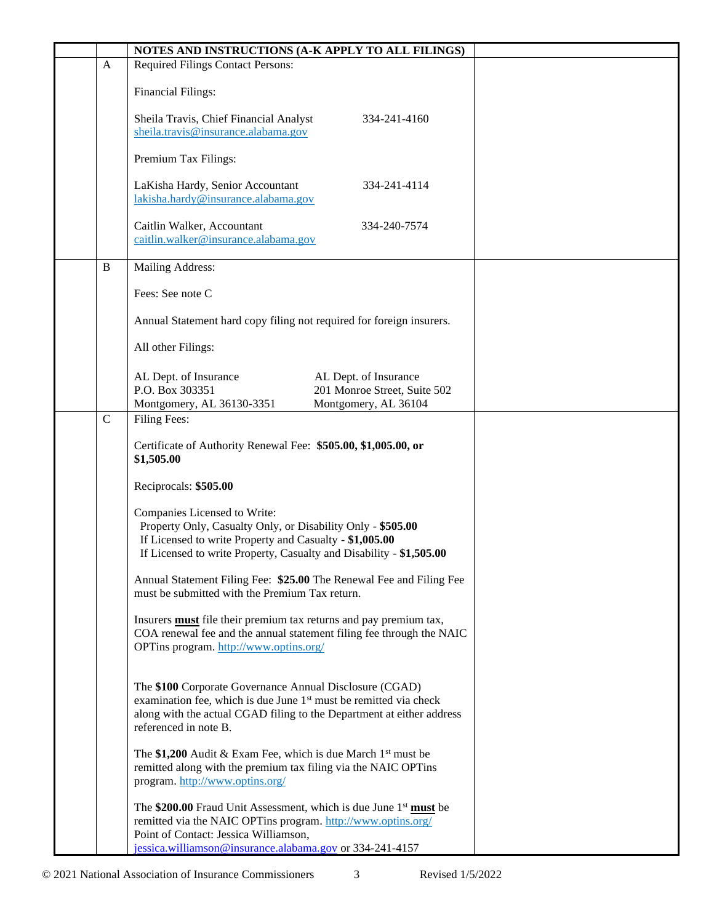|              | NOTES AND INSTRUCTIONS (A-K APPLY TO ALL FILINGS)                                                                                                                                                                                          |  |
|--------------|--------------------------------------------------------------------------------------------------------------------------------------------------------------------------------------------------------------------------------------------|--|
| $\mathbf{A}$ | <b>Required Filings Contact Persons:</b>                                                                                                                                                                                                   |  |
|              | <b>Financial Filings:</b>                                                                                                                                                                                                                  |  |
|              | Sheila Travis, Chief Financial Analyst<br>334-241-4160<br>sheila.travis@insurance.alabama.gov                                                                                                                                              |  |
|              | Premium Tax Filings:                                                                                                                                                                                                                       |  |
|              | LaKisha Hardy, Senior Accountant<br>334-241-4114<br>lakisha.hardy@insurance.alabama.gov                                                                                                                                                    |  |
|              | Caitlin Walker, Accountant<br>334-240-7574<br>caitlin.walker@insurance.alabama.gov                                                                                                                                                         |  |
| $\bf{B}$     | Mailing Address:                                                                                                                                                                                                                           |  |
|              | Fees: See note C                                                                                                                                                                                                                           |  |
|              | Annual Statement hard copy filing not required for foreign insurers.                                                                                                                                                                       |  |
|              | All other Filings:                                                                                                                                                                                                                         |  |
|              | AL Dept. of Insurance<br>AL Dept. of Insurance<br>P.O. Box 303351<br>201 Monroe Street, Suite 502<br>Montgomery, AL 36130-3351<br>Montgomery, AL 36104                                                                                     |  |
| $\mathsf{C}$ | <b>Filing Fees:</b>                                                                                                                                                                                                                        |  |
|              | Certificate of Authority Renewal Fee: \$505.00, \$1,005.00, or<br>\$1,505.00                                                                                                                                                               |  |
|              | Reciprocals: \$505.00                                                                                                                                                                                                                      |  |
|              | Companies Licensed to Write:<br>Property Only, Casualty Only, or Disability Only - \$505.00<br>If Licensed to write Property and Casualty - \$1,005.00<br>If Licensed to write Property, Casualty and Disability - \$1,505.00              |  |
|              | Annual Statement Filing Fee: \$25.00 The Renewal Fee and Filing Fee<br>must be submitted with the Premium Tax return.                                                                                                                      |  |
|              | Insurers <b>must</b> file their premium tax returns and pay premium tax,<br>COA renewal fee and the annual statement filing fee through the NAIC<br>OPTins program. http://www.optins.org/                                                 |  |
|              | The \$100 Corporate Governance Annual Disclosure (CGAD)<br>examination fee, which is due June 1 <sup>st</sup> must be remitted via check<br>along with the actual CGAD filing to the Department at either address<br>referenced in note B. |  |
|              | The \$1,200 Audit & Exam Fee, which is due March $1st$ must be<br>remitted along with the premium tax filing via the NAIC OPTins<br>program. http://www.optins.org/                                                                        |  |
|              | The \$200.00 Fraud Unit Assessment, which is due June $1st$ must be<br>remitted via the NAIC OPTins program. http://www.optins.org/<br>Point of Contact: Jessica Williamson,<br>jessica.williamson@insurance.alabama.gov or 334-241-4157   |  |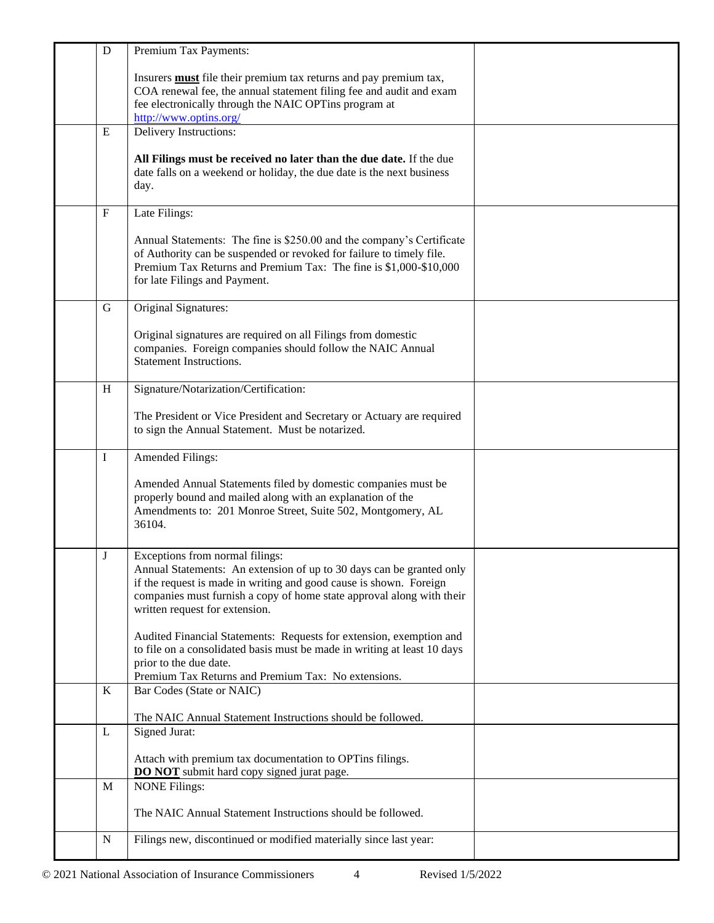| ${\bf D}$   | Premium Tax Payments:                                                                                                                                                                                                                                                                    |  |
|-------------|------------------------------------------------------------------------------------------------------------------------------------------------------------------------------------------------------------------------------------------------------------------------------------------|--|
|             | Insurers <b>must</b> file their premium tax returns and pay premium tax,<br>COA renewal fee, the annual statement filing fee and audit and exam<br>fee electronically through the NAIC OPTins program at<br>http://www.optins.org/                                                       |  |
| E           | Delivery Instructions:                                                                                                                                                                                                                                                                   |  |
|             | All Filings must be received no later than the due date. If the due<br>date falls on a weekend or holiday, the due date is the next business<br>day.                                                                                                                                     |  |
| $\mathbf F$ | Late Filings:                                                                                                                                                                                                                                                                            |  |
|             | Annual Statements: The fine is \$250.00 and the company's Certificate<br>of Authority can be suspended or revoked for failure to timely file.<br>Premium Tax Returns and Premium Tax: The fine is \$1,000-\$10,000<br>for late Filings and Payment.                                      |  |
| G           | Original Signatures:                                                                                                                                                                                                                                                                     |  |
|             | Original signatures are required on all Filings from domestic<br>companies. Foreign companies should follow the NAIC Annual<br><b>Statement Instructions.</b>                                                                                                                            |  |
| H           | Signature/Notarization/Certification:                                                                                                                                                                                                                                                    |  |
|             | The President or Vice President and Secretary or Actuary are required<br>to sign the Annual Statement. Must be notarized.                                                                                                                                                                |  |
| I           | Amended Filings:                                                                                                                                                                                                                                                                         |  |
|             | Amended Annual Statements filed by domestic companies must be<br>properly bound and mailed along with an explanation of the<br>Amendments to: 201 Monroe Street, Suite 502, Montgomery, AL<br>36104.                                                                                     |  |
| J           | Exceptions from normal filings:<br>Annual Statements: An extension of up to 30 days can be granted only<br>if the request is made in writing and good cause is shown. Foreign<br>companies must furnish a copy of home state approval along with their<br>written request for extension. |  |
|             | Audited Financial Statements: Requests for extension, exemption and<br>to file on a consolidated basis must be made in writing at least 10 days<br>prior to the due date.<br>Premium Tax Returns and Premium Tax: No extensions.                                                         |  |
| K           | Bar Codes (State or NAIC)                                                                                                                                                                                                                                                                |  |
|             | The NAIC Annual Statement Instructions should be followed.                                                                                                                                                                                                                               |  |
| $\mathbf L$ | Signed Jurat:<br>Attach with premium tax documentation to OPTins filings.<br><b>DO NOT</b> submit hard copy signed jurat page.                                                                                                                                                           |  |
| M           | <b>NONE Filings:</b>                                                                                                                                                                                                                                                                     |  |
|             | The NAIC Annual Statement Instructions should be followed.                                                                                                                                                                                                                               |  |
| $\mathbf N$ | Filings new, discontinued or modified materially since last year:                                                                                                                                                                                                                        |  |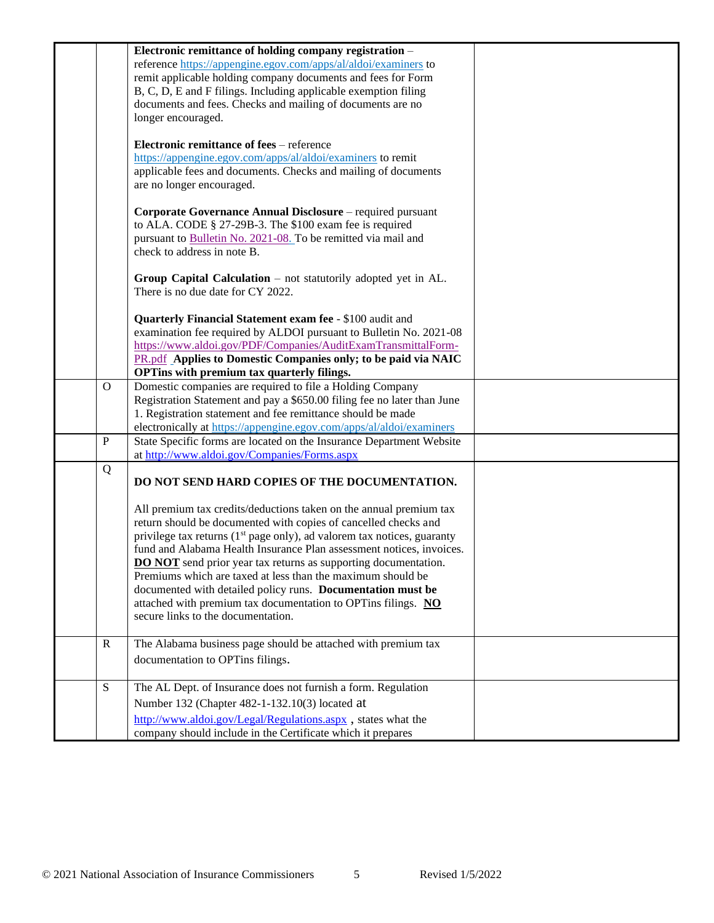|              | Electronic remittance of holding company registration -<br>reference https://appengine.egov.com/apps/al/aldoi/examiners to<br>remit applicable holding company documents and fees for Form<br>B, C, D, E and F filings. Including applicable exemption filing                                                                                                                                                                                 |  |
|--------------|-----------------------------------------------------------------------------------------------------------------------------------------------------------------------------------------------------------------------------------------------------------------------------------------------------------------------------------------------------------------------------------------------------------------------------------------------|--|
|              | documents and fees. Checks and mailing of documents are no<br>longer encouraged.                                                                                                                                                                                                                                                                                                                                                              |  |
|              | <b>Electronic remittance of fees</b> – reference<br>https://appengine.egov.com/apps/al/aldoi/examiners to remit<br>applicable fees and documents. Checks and mailing of documents<br>are no longer encouraged.                                                                                                                                                                                                                                |  |
|              | Corporate Governance Annual Disclosure – required pursuant<br>to ALA. CODE § 27-29B-3. The \$100 exam fee is required<br>pursuant to Bulletin No. 2021-08. To be remitted via mail and<br>check to address in note B.                                                                                                                                                                                                                         |  |
|              | Group Capital Calculation - not statutorily adopted yet in AL.<br>There is no due date for CY 2022.                                                                                                                                                                                                                                                                                                                                           |  |
|              | Quarterly Financial Statement exam fee - \$100 audit and<br>examination fee required by ALDOI pursuant to Bulletin No. 2021-08<br>https://www.aldoi.gov/PDF/Companies/AuditExamTransmittalForm-<br>PR.pdf Applies to Domestic Companies only; to be paid via NAIC<br>OPTins with premium tax quarterly filings.                                                                                                                               |  |
| $\mathbf{O}$ | Domestic companies are required to file a Holding Company<br>Registration Statement and pay a \$650.00 filing fee no later than June<br>1. Registration statement and fee remittance should be made<br>electronically at https://appengine.egov.com/apps/al/aldoi/examiners                                                                                                                                                                   |  |
| $\, {\bf P}$ | State Specific forms are located on the Insurance Department Website<br>at http://www.aldoi.gov/Companies/Forms.aspx                                                                                                                                                                                                                                                                                                                          |  |
| Q            | DO NOT SEND HARD COPIES OF THE DOCUMENTATION.                                                                                                                                                                                                                                                                                                                                                                                                 |  |
|              | All premium tax credits/deductions taken on the annual premium tax<br>return should be documented with copies of cancelled checks and<br>privilege tax returns (1 <sup>st</sup> page only), ad valorem tax notices, guaranty<br>fund and Alabama Health Insurance Plan assessment notices, invoices.<br><b>DO NOT</b> send prior year tax returns as supporting documentation.<br>Premiums which are taxed at less than the maximum should be |  |
|              | documented with detailed policy runs. Documentation must be<br>attached with premium tax documentation to OPTins filings. NO<br>secure links to the documentation.                                                                                                                                                                                                                                                                            |  |
| $\mathbb{R}$ | The Alabama business page should be attached with premium tax<br>documentation to OPTins filings.                                                                                                                                                                                                                                                                                                                                             |  |
| ${\bf S}$    | The AL Dept. of Insurance does not furnish a form. Regulation<br>Number 132 (Chapter 482-1-132.10(3) located at<br>http://www.aldoi.gov/Legal/Regulations.aspx, states what the<br>company should include in the Certificate which it prepares                                                                                                                                                                                                |  |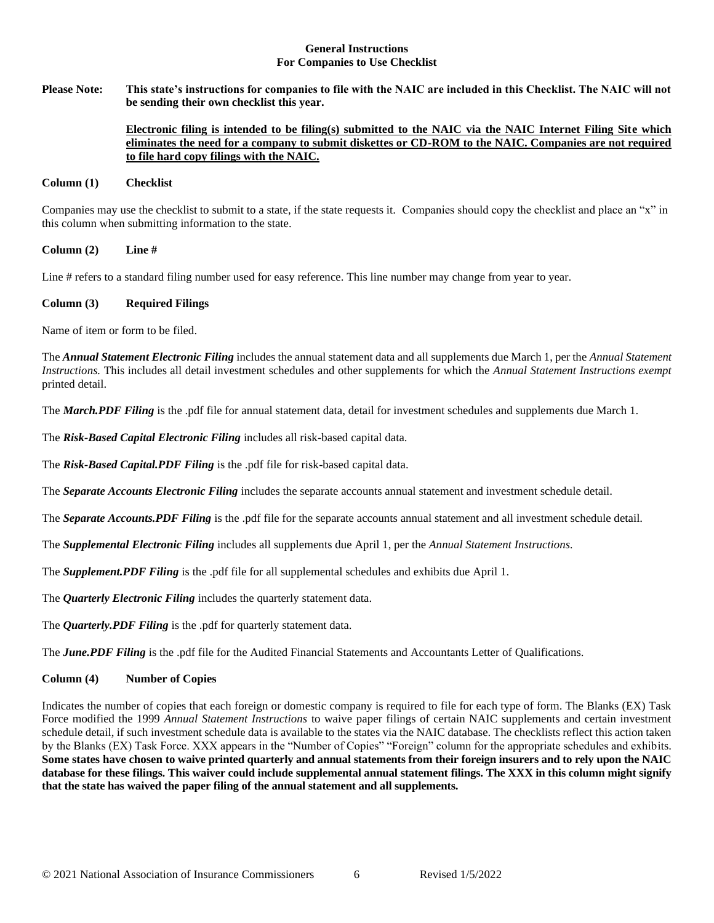### **General Instructions For Companies to Use Checklist**

**Please Note: This state's instructions for companies to file with the NAIC are included in this Checklist. The NAIC will not be sending their own checklist this year.** 

#### **Electronic filing is intended to be filing(s) submitted to the NAIC via the NAIC Internet Filing Site which eliminates the need for a company to submit diskettes or CD-ROM to the NAIC. Companies are not required to file hard copy filings with the NAIC.**

#### **Column (1) Checklist**

Companies may use the checklist to submit to a state, if the state requests it. Companies should copy the checklist and place an "x" in this column when submitting information to the state.

#### **Column (2) Line #**

Line # refers to a standard filing number used for easy reference. This line number may change from year to year.

#### **Column (3) Required Filings**

Name of item or form to be filed.

The *Annual Statement Electronic Filing* includes the annual statement data and all supplements due March 1, per the *Annual Statement Instructions.* This includes all detail investment schedules and other supplements for which the *Annual Statement Instructions exempt*  printed detail.

The *March.PDF Filing* is the .pdf file for annual statement data, detail for investment schedules and supplements due March 1.

The *Risk-Based Capital Electronic Filing* includes all risk-based capital data.

The *Risk-Based Capital.PDF Filing* is the .pdf file for risk-based capital data.

The *Separate Accounts Electronic Filing* includes the separate accounts annual statement and investment schedule detail.

The *Separate Accounts.PDF Filing* is the .pdf file for the separate accounts annual statement and all investment schedule detail.

The *Supplemental Electronic Filing* includes all supplements due April 1, per the *Annual Statement Instructions.* 

The *Supplement.PDF Filing* is the .pdf file for all supplemental schedules and exhibits due April 1.

The *Quarterly Electronic Filing* includes the quarterly statement data.

The *Quarterly.PDF Filing* is the .pdf for quarterly statement data.

The *June.PDF Filing* is the .pdf file for the Audited Financial Statements and Accountants Letter of Qualifications.

### **Column (4) Number of Copies**

Indicates the number of copies that each foreign or domestic company is required to file for each type of form. The Blanks (EX) Task Force modified the 1999 *Annual Statement Instructions* to waive paper filings of certain NAIC supplements and certain investment schedule detail, if such investment schedule data is available to the states via the NAIC database. The checklists reflect this action taken by the Blanks (EX) Task Force. XXX appears in the "Number of Copies" "Foreign" column for the appropriate schedules and exhibits. **Some states have chosen to waive printed quarterly and annual statements from their foreign insurers and to rely upon the NAIC database for these filings. This waiver could include supplemental annual statement filings. The XXX in this column might signify that the state has waived the paper filing of the annual statement and all supplements.**